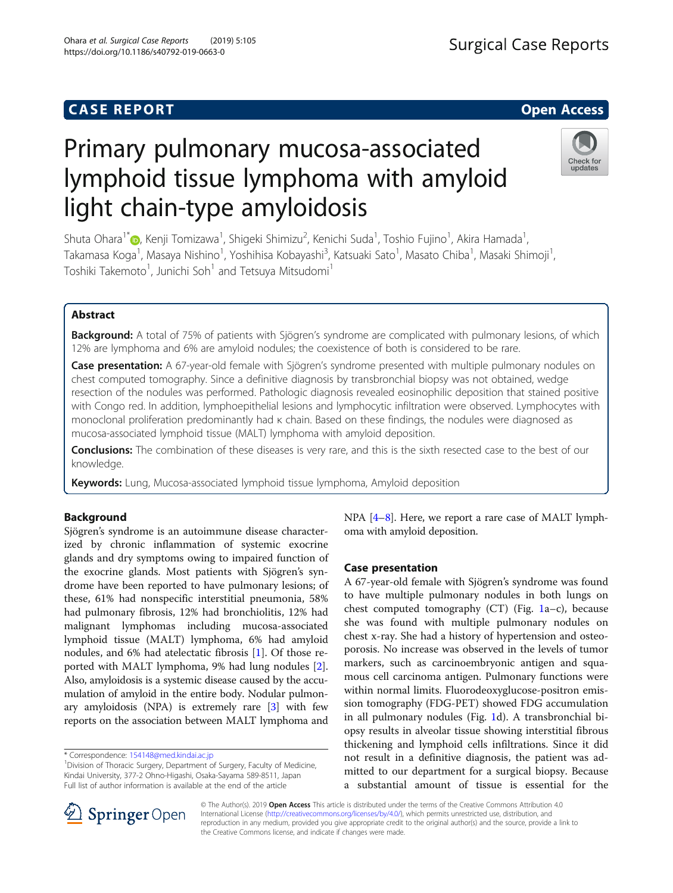## **CASE REPORT And SERVICE SERVICE SERVICE SERVICE SERVICE SERVICE SERVICE SERVICE SERVICE SERVICE SERVICE SERVICE**

# Primary pulmonary mucosa-associated lymphoid tissue lymphoma with amyloid light chain-type amyloidosis

Shuta Ohara $^1$ [\\*](http://orcid.org/0000-0002-9159-8743)@, Kenji Tomizawa $^1$ , Shigeki Shimizu $^2$ , Kenichi Suda $^1$ , Toshio Fujino $^1$ , Akira Hamada $^1$ , Takamasa Koga<sup>1</sup>, Masaya Nishino<sup>1</sup>, Yoshihisa Kobayashi<sup>3</sup>, Katsuaki Sato<sup>1</sup>, Masato Chiba<sup>1</sup>, Masaki Shimoji<sup>1</sup> , Toshiki Takemoto $^{\text{1}}$ , Junichi Soh $^{\text{1}}$  and Tetsuya Mitsudomi $^{\text{1}}$ 

## Abstract

Background: A total of 75% of patients with Sjögren's syndrome are complicated with pulmonary lesions, of which 12% are lymphoma and 6% are amyloid nodules; the coexistence of both is considered to be rare.

Case presentation: A 67-year-old female with Sjögren's syndrome presented with multiple pulmonary nodules on chest computed tomography. Since a definitive diagnosis by transbronchial biopsy was not obtained, wedge resection of the nodules was performed. Pathologic diagnosis revealed eosinophilic deposition that stained positive with Congo red. In addition, lymphoepithelial lesions and lymphocytic infiltration were observed. Lymphocytes with monoclonal proliferation predominantly had κ chain. Based on these findings, the nodules were diagnosed as mucosa-associated lymphoid tissue (MALT) lymphoma with amyloid deposition.

Conclusions: The combination of these diseases is very rare, and this is the sixth resected case to the best of our knowledge.

Keywords: Lung, Mucosa-associated lymphoid tissue lymphoma, Amyloid deposition

## Background

Sjögren's syndrome is an autoimmune disease characterized by chronic inflammation of systemic exocrine glands and dry symptoms owing to impaired function of the exocrine glands. Most patients with Sjögren's syndrome have been reported to have pulmonary lesions; of these, 61% had nonspecific interstitial pneumonia, 58% had pulmonary fibrosis, 12% had bronchiolitis, 12% had malignant lymphomas including mucosa-associated lymphoid tissue (MALT) lymphoma, 6% had amyloid nodules, and 6% had atelectatic fibrosis [\[1](#page-2-0)]. Of those reported with MALT lymphoma, 9% had lung nodules [\[2](#page-2-0)]. Also, amyloidosis is a systemic disease caused by the accumulation of amyloid in the entire body. Nodular pulmonary amyloidosis (NPA) is extremely rare [[3](#page-2-0)] with few reports on the association between MALT lymphoma and

\* Correspondence: [154148@med.kindai.ac.jp](mailto:154148@med.kindai.ac.jp) <sup>1</sup>

© The Author(s). 2019 Open Access This article is distributed under the terms of the Creative Commons Attribution 4.0 International License ([http://creativecommons.org/licenses/by/4.0/\)](http://creativecommons.org/licenses/by/4.0/), which permits unrestricted use, distribution, and reproduction in any medium, provided you give appropriate credit to the original author(s) and the source, provide a link to the Creative Commons license, and indicate if changes were made.

NPA [\[4](#page-3-0)–[8\]](#page-3-0). Here, we report a rare case of MALT lymphoma with amyloid deposition.

## Case presentation

A 67-year-old female with Sjögren's syndrome was found to have multiple pulmonary nodules in both lungs on chest computed tomography (CT) (Fig. [1](#page-1-0)a–c), because she was found with multiple pulmonary nodules on chest x-ray. She had a history of hypertension and osteoporosis. No increase was observed in the levels of tumor markers, such as carcinoembryonic antigen and squamous cell carcinoma antigen. Pulmonary functions were within normal limits. Fluorodeoxyglucose-positron emission tomography (FDG-PET) showed FDG accumulation in all pulmonary nodules (Fig. [1d](#page-1-0)). A transbronchial biopsy results in alveolar tissue showing interstitial fibrous thickening and lymphoid cells infiltrations. Since it did not result in a definitive diagnosis, the patient was admitted to our department for a surgical biopsy. Because a substantial amount of tissue is essential for the







<sup>&</sup>lt;sup>1</sup> Division of Thoracic Surgery, Department of Surgery, Faculty of Medicine, Kindai University, 377-2 Ohno-Higashi, Osaka-Sayama 589-8511, Japan Full list of author information is available at the end of the article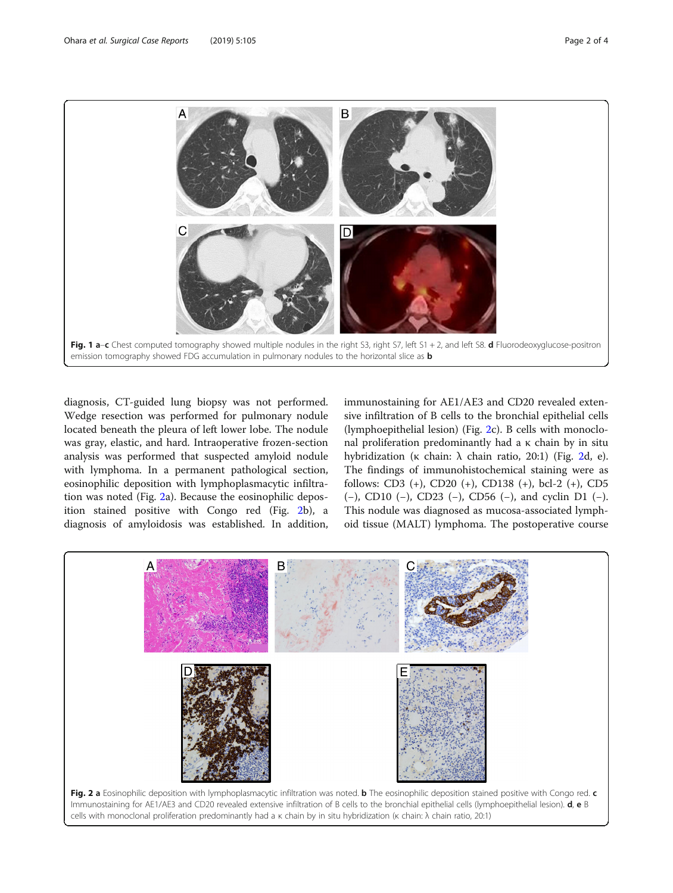<span id="page-1-0"></span>

diagnosis, CT-guided lung biopsy was not performed. Wedge resection was performed for pulmonary nodule located beneath the pleura of left lower lobe. The nodule was gray, elastic, and hard. Intraoperative frozen-section analysis was performed that suspected amyloid nodule with lymphoma. In a permanent pathological section, eosinophilic deposition with lymphoplasmacytic infiltration was noted (Fig. 2a). Because the eosinophilic deposition stained positive with Congo red (Fig. 2b), a diagnosis of amyloidosis was established. In addition,

immunostaining for AE1/AE3 and CD20 revealed extensive infiltration of B cells to the bronchial epithelial cells (lymphoepithelial lesion) (Fig. 2c). B cells with monoclonal proliferation predominantly had a κ chain by in situ hybridization (κ chain: λ chain ratio, 20:1) (Fig. 2d, e). The findings of immunohistochemical staining were as follows: CD3 (+), CD20 (+), CD138 (+), bcl-2 (+), CD5 (−), CD10 (−), CD23 (−), CD56 (−), and cyclin D1 (−). This nodule was diagnosed as mucosa-associated lymphoid tissue (MALT) lymphoma. The postoperative course

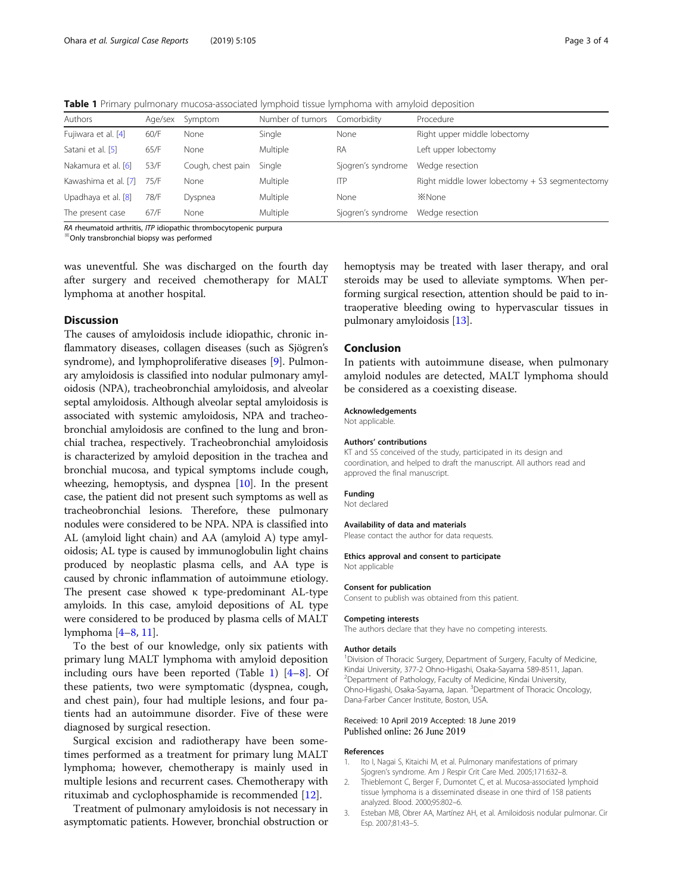<span id="page-2-0"></span>Table 1 Primary pulmonary mucosa-associated lymphoid tissue lymphoma with amyloid deposition

| Authors              | Age/sex | Symptom           | Number of tumors | Comorbidity        | Procedure                                       |
|----------------------|---------|-------------------|------------------|--------------------|-------------------------------------------------|
| Fujiwara et al. [4]  | 60/F    | None              | Single           | None               | Right upper middle lobectomy                    |
| Satani et al. [5]    | 65/F    | None              | Multiple         | <b>RA</b>          | Left upper lobectomy                            |
| Nakamura et al. [6]  | 53/F    | Cough, chest pain | Single           | Sjogren's syndrome | Wedge resection                                 |
| Kawashima et al. [7] | 75/F    | None              | Multiple         | <b>ITP</b>         | Right middle lower lobectomy + S3 segmentectomy |
| Upadhaya et al. [8]  | 78/F    | Dyspnea           | Multiple         | None               | <b>X</b> None                                   |
| The present case     | 67/F    | None              | Multiple         | Sjogren's syndrome | Wedge resection                                 |
|                      |         |                   |                  |                    |                                                 |

RA rheumatoid arthritis, ITP idiopathic thrombocytopenic purpura ※Only transbronchial biopsy was performed

was uneventful. She was discharged on the fourth day after surgery and received chemotherapy for MALT lymphoma at another hospital.

## Discussion

The causes of amyloidosis include idiopathic, chronic inflammatory diseases, collagen diseases (such as Sjögren's syndrome), and lymphoproliferative diseases [\[9\]](#page-3-0). Pulmonary amyloidosis is classified into nodular pulmonary amyloidosis (NPA), tracheobronchial amyloidosis, and alveolar septal amyloidosis. Although alveolar septal amyloidosis is associated with systemic amyloidosis, NPA and tracheobronchial amyloidosis are confined to the lung and bronchial trachea, respectively. Tracheobronchial amyloidosis is characterized by amyloid deposition in the trachea and bronchial mucosa, and typical symptoms include cough, wheezing, hemoptysis, and dyspnea [[10](#page-3-0)]. In the present case, the patient did not present such symptoms as well as tracheobronchial lesions. Therefore, these pulmonary nodules were considered to be NPA. NPA is classified into AL (amyloid light chain) and AA (amyloid A) type amyloidosis; AL type is caused by immunoglobulin light chains produced by neoplastic plasma cells, and AA type is caused by chronic inflammation of autoimmune etiology. The present case showed κ type-predominant AL-type amyloids. In this case, amyloid depositions of AL type were considered to be produced by plasma cells of MALT lymphoma [\[4](#page-3-0)–[8,](#page-3-0) [11\]](#page-3-0).

To the best of our knowledge, only six patients with primary lung MALT lymphoma with amyloid deposition including ours have been reported (Table 1) [\[4](#page-3-0)–[8](#page-3-0)]. Of these patients, two were symptomatic (dyspnea, cough, and chest pain), four had multiple lesions, and four patients had an autoimmune disorder. Five of these were diagnosed by surgical resection.

Surgical excision and radiotherapy have been sometimes performed as a treatment for primary lung MALT lymphoma; however, chemotherapy is mainly used in multiple lesions and recurrent cases. Chemotherapy with rituximab and cyclophosphamide is recommended [[12\]](#page-3-0).

Treatment of pulmonary amyloidosis is not necessary in asymptomatic patients. However, bronchial obstruction or hemoptysis may be treated with laser therapy, and oral steroids may be used to alleviate symptoms. When performing surgical resection, attention should be paid to intraoperative bleeding owing to hypervascular tissues in pulmonary amyloidosis [\[13\]](#page-3-0).

## Conclusion

In patients with autoimmune disease, when pulmonary amyloid nodules are detected, MALT lymphoma should be considered as a coexisting disease.

#### Acknowledgements

Not applicable.

#### Authors' contributions

KT and SS conceived of the study, participated in its design and coordination, and helped to draft the manuscript. All authors read and approved the final manuscript.

#### Funding

Not declared

#### Availability of data and materials

Please contact the author for data requests.

#### Ethics approval and consent to participate Not applicable

#### Consent for publication

Consent to publish was obtained from this patient.

#### Competing interests

The authors declare that they have no competing interests.

#### Author details

<sup>1</sup> Division of Thoracic Surgery, Department of Surgery, Faculty of Medicine, Kindai University, 377-2 Ohno-Higashi, Osaka-Sayama 589-8511, Japan. 2 Department of Pathology, Faculty of Medicine, Kindai University, Ohno-Higashi, Osaka-Sayama, Japan. <sup>3</sup>Department of Thoracic Oncology Dana-Farber Cancer Institute, Boston, USA.

#### Received: 10 April 2019 Accepted: 18 June 2019 Published online: 26 June 2019

#### References

- 1. Ito I, Nagai S, Kitaichi M, et al. Pulmonary manifestations of primary Sjogren's syndrome. Am J Respir Crit Care Med. 2005;171:632–8.
- 2. Thieblemont C, Berger F, Dumontet C, et al. Mucosa-associated lymphoid tissue lymphoma is a disseminated disease in one third of 158 patients analyzed. Blood. 2000;95:802–6.
- 3. Esteban MB, Obrer AA, Martínez AH, et al. Amiloidosis nodular pulmonar. Cir Esp. 2007;81:43–5.